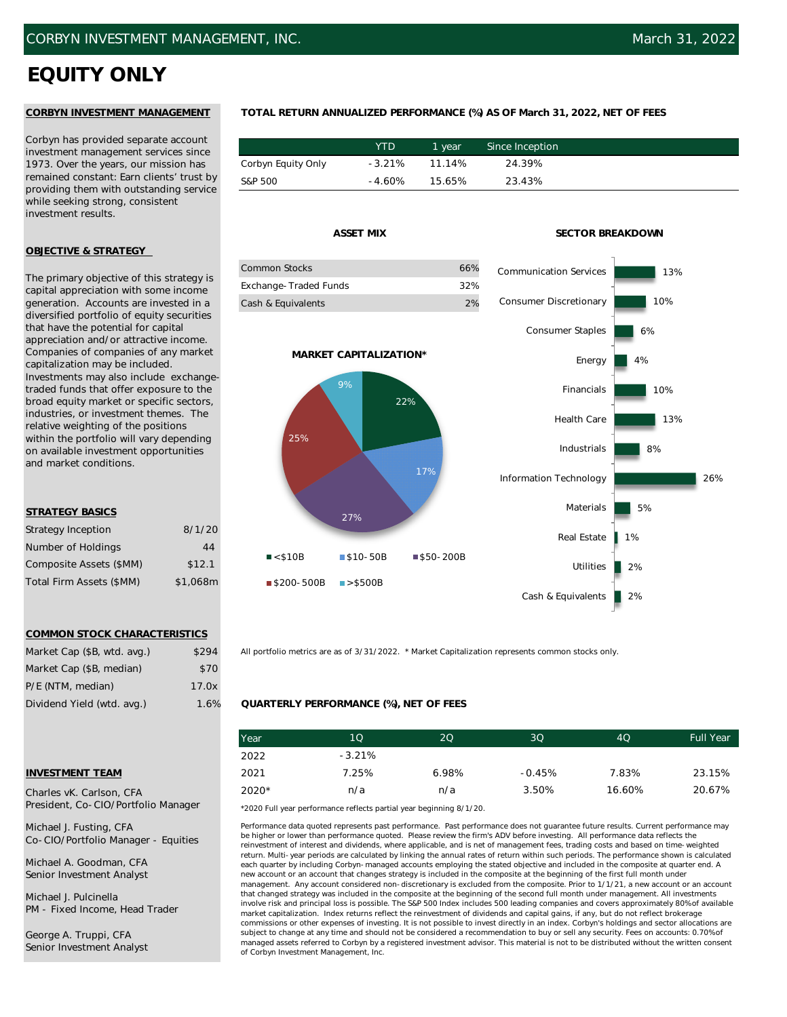# **EQUITY ONLY**

Corbyn has provided separate account investment management services since 1973. Over the years, our mission has remained constant: Earn clients' trust by providing them with outstanding service while seeking strong, consistent investment results.

# **OBJECTIVE & STRATEGY**

The primary objective of this strategy is capital appreciation with some income generation. Accounts are invested in a diversified portfolio of equity securities that have the potential for capital appreciation and/or attractive income. Companies of companies of any market capitalization may be included. Investments may also include exchangetraded funds that offer exposure to the broad equity market or specific sectors, industries, or investment themes. The relative weighting of the positions within the portfolio will vary depending on available investment opportunities and market conditions.

# **STRATEGY BASICS**

| <b>Strategy Inception</b> | 8/1/20   |
|---------------------------|----------|
| Number of Holdings        | 44       |
| Composite Assets (\$MM)   | \$12.1   |
| Total Firm Assets (\$MM)  | \$1,068m |

## **COMMON STOCK CHARACTERISTICS**

| Market Cap (\$B, wtd. avg.) | \$294 |
|-----------------------------|-------|
| Market Cap (\$B, median)    | \$70  |
| P/E (NTM, median)           | 17.0x |
| Dividend Yield (wtd. avg.)  | 1.6%  |

# **INVESTMENT TEAM**

Charles vK. Carlson, CFA President, Co-CIO/Portfolio Manager

Michael J. Fusting, CFA Co-CIO/Portfolio Manager - Equities

Michael A. Goodman, CFA Senior Investment Analyst

Michael J. Pulcinella PM - Fixed Income, Head Trader

George A. Truppi, CFA Senior Investment Analyst

# **CORBYN INVESTMENT MANAGEMENT TOTAL RETURN ANNUALIZED PERFORMANCE (%) AS OF March 31, 2022, NET OF FEES**

|                    | YTD      | 1 vear | Since Inception |
|--------------------|----------|--------|-----------------|
| Corbyn Equity Only | $-3.21%$ | 11.14% | 24.39%          |
| S&P 500            | $-4.60%$ | 15.65% | 23.43%          |

| Common Stocks         | 66% |  |
|-----------------------|-----|--|
| Exchange-Traded Funds | 32% |  |
| Cash & Equivalents    | 2%  |  |

**MARKET CAPITALIZATION\***

9%

22%

17%

### **ASSET MIX SECTOR BREAKDOWN**



All portfolio metrics are as of 3/31/2022. \* Market Capitalization represents common stocks only.

## **QUARTERLY PERFORMANCE (%), NET OF FEES**

27%

 $\blacksquare$ \$200-500B  $\blacksquare$ >\$500B

 $\blacksquare$  < \$10B  $\blacksquare$  \$10-50B  $\blacksquare$  \$50-200B

25%

| Year  | 10       | 20    | 3 <sub>O</sub> | 4Q     | <b>Full Year</b> |
|-------|----------|-------|----------------|--------|------------------|
| 2022  | $-3.21%$ |       |                |        |                  |
| 2021  | 7.25%    | 6.98% | $-0.45%$       | 7.83%  | 23.15%           |
| 2020* | n/a      | n/a   | 3.50%          | 16.60% | 20.67%           |

\*2020 Full year performance reflects partial year beginning 8/1/20.

Performance data quoted represents past performance. Past performance does not guarantee future results. Current performance may be higher or lower than performance quoted. Please review the firm's ADV before investing. All performance data reflects the reinvestment of interest and dividends, where applicable, and is net of management fees, trading costs and based on time-weighted return. Multi-year periods are calculated by linking the annual rates of return within such periods. The performance shown is calculated each quarter by including Corbyn-managed accounts employing the stated objective and included in the composite at quarter end. A new account or an account that changes strategy is included in the composite at the beginning of the first full month under management. Any account considered non-discretionary is excluded from the composite. Prior to 1/1/21, a new account or an account that changed strategy was included in the composite at the beginning of the second full month under management. All investments involve risk and principal loss is possible. The S&P 500 Index includes 500 leading companies and covers approximately 80% of available market capitalization. Index returns reflect the reinvestment of dividends and capital gains, if any, but do not reflect brokerage commissions or other expenses of investing. It is not possible to invest directly in an index. Corbyn's holdings and sector allocations are subject to change at any time and should not be considered a recommendation to buy or sell any security. Fees on accounts: 0.70% of managed assets referred to Corbyn by a registered investment advisor. This material is not to be distributed without the written consent of Corbyn Investment Management, Inc.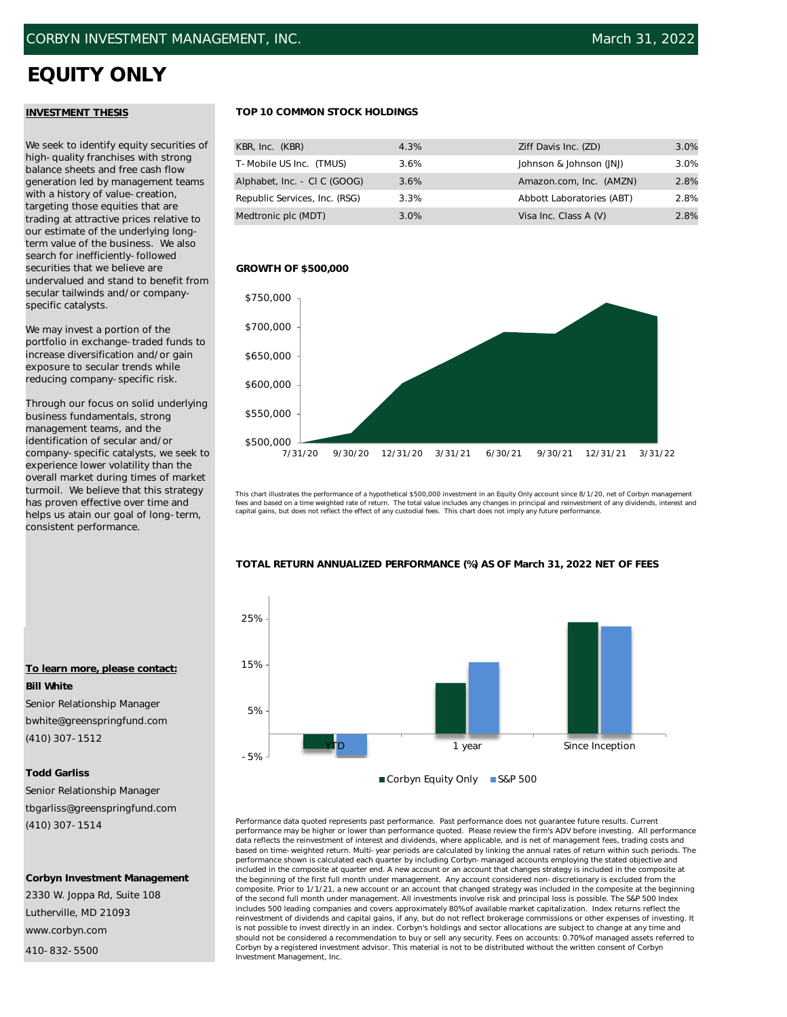# **EQUITY ONLY**

# **INVESTMENT THESIS**

We seek to identify equity securities of high-quality franchises with strong balance sheets and free cash flow generation led by management teams with a history of value-creation, targeting those equities that are trading at attractive prices relative to our estimate of the underlying longterm value of the business. We also search for inefficiently-followed securities that we believe are undervalued and stand to benefit from secular tailwinds and/or companyspecific catalysts.

We may invest a portion of the portfolio in exchange-traded funds to increase diversification and/or gain exposure to secular trends while reducing company-specific risk.

Through our focus on solid underlying business fundamentals, strong management teams, and the identification of secular and/or company-specific catalysts, we seek to experience lower volatility than the overall market during times of market turmoil. We believe that this strategy has proven effective over time and helps us atain our goal of long-term, consistent performance.

# **To learn more, please contact: Bill White**

Senior Relationship Manager bwhite@greenspringfund.com (410) 307-1512

# **Todd Garliss**

Senior Relationship Manager tbgarliss@greenspringfund.com (410) 307-1514

## **Corbyn Investment Management**

2330 W. Joppa Rd, Suite 108 Lutherville, MD 21093 www.corbyn.com

410-832-5500

# **TOP 10 COMMON STOCK HOLDINGS**

| KBR, Inc. (KBR)               | 4.3% | Ziff Davis Inc. (ZD)      | 3.0% |
|-------------------------------|------|---------------------------|------|
| T-Mobile US Inc. (TMUS)       | 3.6% | Johnson & Johnson (JNJ)   | 3.0% |
| Alphabet, Inc. - CI C (GOOG)  | 3.6% | Amazon.com, Inc. (AMZN)   | 2.8% |
| Republic Services, Inc. (RSG) | 3.3% | Abbott Laboratories (ABT) | 2.8% |
| Medtronic plc (MDT)           | 3.0% | Visa Inc. Class A (V)     | 2.8% |

## **GROWTH OF \$500,000**



This chart illustrates the performance of a hypothetical \$500,000 investment in an Equity Only account since 8/1/20, net of Corbyn management fees and based on a time weighted rate of return. The total value includes any changes in principal and reinvestment of any dividends, interest and<br>capital gains, but does not reflect the effect of any custodial fees. This



### Performance data quoted represents past performance. Past performance does not guarantee future results. Current performance may be higher or lower than performance quoted. Please review the firm's ADV before investing. All performance data reflects the reinvestment of interest and dividends, where applicable, and is net of management fees, trading costs and based on time-weighted return. Multi-year periods are calculated by linking the annual rates of return within such periods. The performance shown is calculated each quarter by including Corbyn-managed accounts employing the stated objective and included in the composite at quarter end. A new account or an account that changes strategy is included in the composite at the beginning of the first full month under management. Any account considered non-discretionary is excluded from the composite. Prior to 1/1/21, a new account or an account that changed strategy was included in the composite at the beginning of the second full month under management. All investments involve risk and principal loss is possible. The S&P 500 Index includes 500 leading companies and covers approximately 80% of available market capitalization. Index returns reflect the reinvestment of dividends and capital gains, if any, but do not reflect brokerage commissions or other expenses of investing. It is not possible to invest directly in an index. Corbyn's holdings and sector allocations are subject to change at any time and should not be considered a recommendation to buy or sell any security. Fees on accounts: 0.70% of managed assets referred to Corbyn by a registered investment advisor. This material is not to be distributed without the written consent of Corbyn Investment Management, Inc.

# **TOTAL RETURN ANNUALIZED PERFORMANCE (%) AS OF March 31, 2022 NET OF FEES**